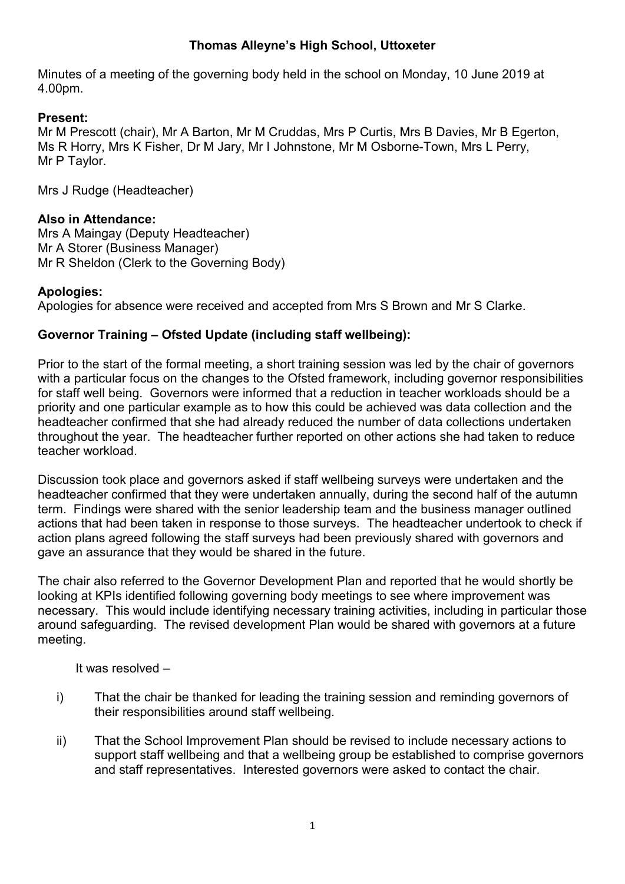# **Thomas Alleyne's High School, Uttoxeter**

Minutes of a meeting of the governing body held in the school on Monday, 10 June 2019 at 4.00pm.

# **Present:**

Mr M Prescott (chair), Mr A Barton, Mr M Cruddas, Mrs P Curtis, Mrs B Davies, Mr B Egerton, Ms R Horry, Mrs K Fisher, Dr M Jary, Mr I Johnstone, Mr M Osborne-Town, Mrs L Perry, Mr P Taylor.

Mrs J Rudge (Headteacher)

# **Also in Attendance:**

Mrs A Maingay (Deputy Headteacher) Mr A Storer (Business Manager) Mr R Sheldon (Clerk to the Governing Body)

# **Apologies:**

Apologies for absence were received and accepted from Mrs S Brown and Mr S Clarke.

# **Governor Training – Ofsted Update (including staff wellbeing):**

Prior to the start of the formal meeting, a short training session was led by the chair of governors with a particular focus on the changes to the Ofsted framework, including governor responsibilities for staff well being. Governors were informed that a reduction in teacher workloads should be a priority and one particular example as to how this could be achieved was data collection and the headteacher confirmed that she had already reduced the number of data collections undertaken throughout the year. The headteacher further reported on other actions she had taken to reduce teacher workload.

Discussion took place and governors asked if staff wellbeing surveys were undertaken and the headteacher confirmed that they were undertaken annually, during the second half of the autumn term. Findings were shared with the senior leadership team and the business manager outlined actions that had been taken in response to those surveys. The headteacher undertook to check if action plans agreed following the staff surveys had been previously shared with governors and gave an assurance that they would be shared in the future.

The chair also referred to the Governor Development Plan and reported that he would shortly be looking at KPIs identified following governing body meetings to see where improvement was necessary. This would include identifying necessary training activities, including in particular those around safeguarding. The revised development Plan would be shared with governors at a future meeting.

It was resolved –

- i) That the chair be thanked for leading the training session and reminding governors of their responsibilities around staff wellbeing.
- ii) That the School Improvement Plan should be revised to include necessary actions to support staff wellbeing and that a wellbeing group be established to comprise governors and staff representatives. Interested governors were asked to contact the chair.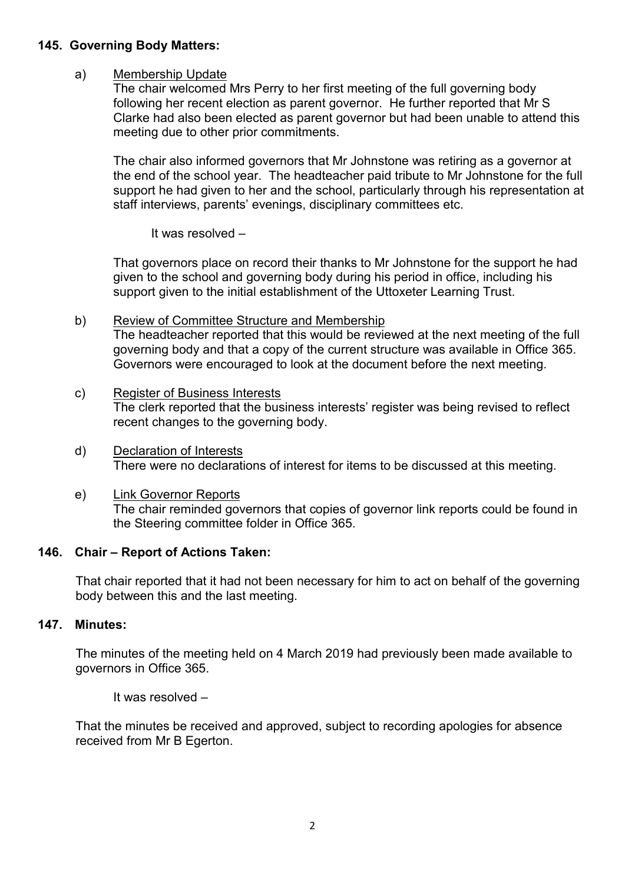### **145. Governing Body Matters:**

### a) Membership Update

The chair welcomed Mrs Perry to her first meeting of the full governing body following her recent election as parent governor. He further reported that Mr S Clarke had also been elected as parent governor but had been unable to attend this meeting due to other prior commitments.

The chair also informed governors that Mr Johnstone was retiring as a governor at the end of the school year. The headteacher paid tribute to Mr Johnstone for the full support he had given to her and the school, particularly through his representation at staff interviews, parents' evenings, disciplinary committees etc.

It was resolved –

That governors place on record their thanks to Mr Johnstone for the support he had given to the school and governing body during his period in office, including his support given to the initial establishment of the Uttoxeter Learning Trust.

#### b) Review of Committee Structure and Membership

The headteacher reported that this would be reviewed at the next meeting of the full governing body and that a copy of the current structure was available in Office 365. Governors were encouraged to look at the document before the next meeting.

#### c) Register of Business Interests The clerk reported that the business interests' register was being revised to reflect recent changes to the governing body.

- d) Declaration of Interests There were no declarations of interest for items to be discussed at this meeting.
- e) Link Governor Reports The chair reminded governors that copies of governor link reports could be found in the Steering committee folder in Office 365.

## **146. Chair – Report of Actions Taken:**

That chair reported that it had not been necessary for him to act on behalf of the governing body between this and the last meeting.

#### **147. Minutes:**

The minutes of the meeting held on 4 March 2019 had previously been made available to governors in Office 365.

It was resolved –

That the minutes be received and approved, subject to recording apologies for absence received from Mr B Egerton.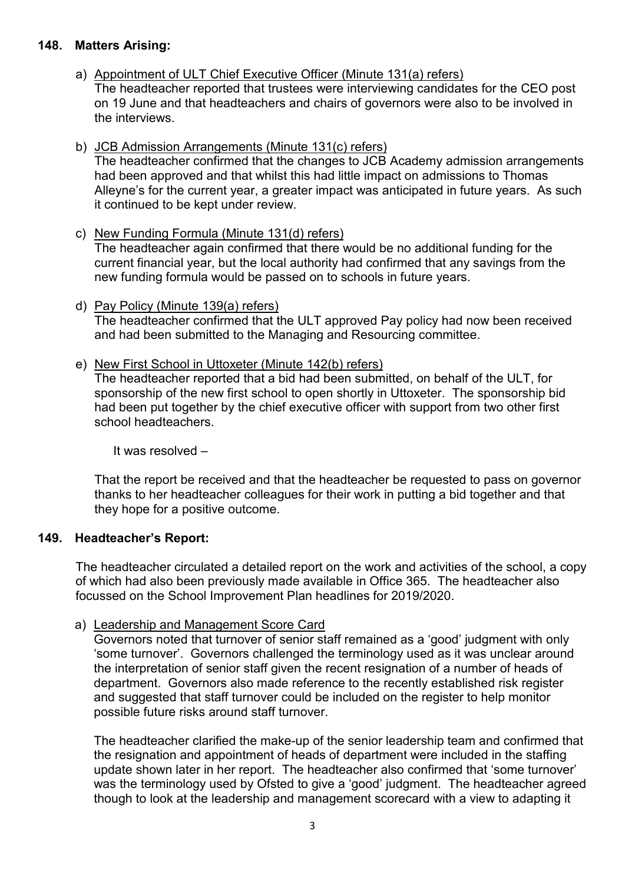### **148. Matters Arising:**

- a) Appointment of ULT Chief Executive Officer (Minute 131(a) refers) The headteacher reported that trustees were interviewing candidates for the CEO post on 19 June and that headteachers and chairs of governors were also to be involved in the interviews.
- b) JCB Admission Arrangements (Minute 131(c) refers) The headteacher confirmed that the changes to JCB Academy admission arrangements had been approved and that whilst this had little impact on admissions to Thomas Alleyne's for the current year, a greater impact was anticipated in future years. As such it continued to be kept under review.
- c) New Funding Formula (Minute 131(d) refers) The headteacher again confirmed that there would be no additional funding for the current financial year, but the local authority had confirmed that any savings from the new funding formula would be passed on to schools in future years.
- d) Pay Policy (Minute 139(a) refers) The headteacher confirmed that the ULT approved Pay policy had now been received and had been submitted to the Managing and Resourcing committee.
- e) New First School in Uttoxeter (Minute 142(b) refers) The headteacher reported that a bid had been submitted, on behalf of the ULT, for sponsorship of the new first school to open shortly in Uttoxeter. The sponsorship bid had been put together by the chief executive officer with support from two other first school headteachers.

It was resolved –

That the report be received and that the headteacher be requested to pass on governor thanks to her headteacher colleagues for their work in putting a bid together and that they hope for a positive outcome.

#### **149. Headteacher's Report:**

The headteacher circulated a detailed report on the work and activities of the school, a copy of which had also been previously made available in Office 365. The headteacher also focussed on the School Improvement Plan headlines for 2019/2020.

a) Leadership and Management Score Card

Governors noted that turnover of senior staff remained as a 'good' judgment with only 'some turnover'. Governors challenged the terminology used as it was unclear around the interpretation of senior staff given the recent resignation of a number of heads of department. Governors also made reference to the recently established risk register and suggested that staff turnover could be included on the register to help monitor possible future risks around staff turnover.

The headteacher clarified the make-up of the senior leadership team and confirmed that the resignation and appointment of heads of department were included in the staffing update shown later in her report. The headteacher also confirmed that 'some turnover' was the terminology used by Ofsted to give a 'good' judgment. The headteacher agreed though to look at the leadership and management scorecard with a view to adapting it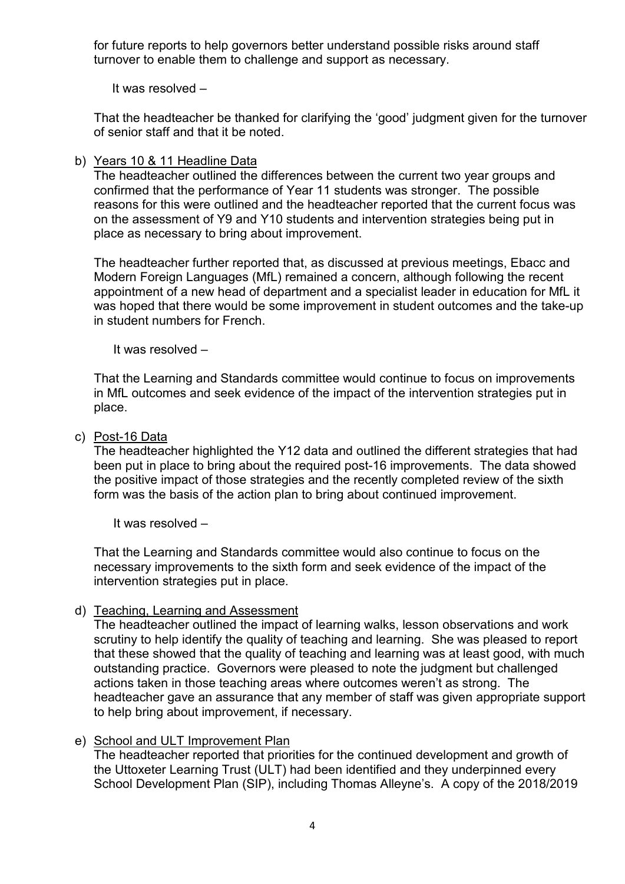for future reports to help governors better understand possible risks around staff turnover to enable them to challenge and support as necessary.

It was resolved –

That the headteacher be thanked for clarifying the 'good' judgment given for the turnover of senior staff and that it be noted.

### b) Years 10 & 11 Headline Data

The headteacher outlined the differences between the current two year groups and confirmed that the performance of Year 11 students was stronger. The possible reasons for this were outlined and the headteacher reported that the current focus was on the assessment of Y9 and Y10 students and intervention strategies being put in place as necessary to bring about improvement.

The headteacher further reported that, as discussed at previous meetings, Ebacc and Modern Foreign Languages (MfL) remained a concern, although following the recent appointment of a new head of department and a specialist leader in education for MfL it was hoped that there would be some improvement in student outcomes and the take-up in student numbers for French.

It was resolved –

That the Learning and Standards committee would continue to focus on improvements in MfL outcomes and seek evidence of the impact of the intervention strategies put in place.

c) Post-16 Data

The headteacher highlighted the Y12 data and outlined the different strategies that had been put in place to bring about the required post-16 improvements. The data showed the positive impact of those strategies and the recently completed review of the sixth form was the basis of the action plan to bring about continued improvement.

It was resolved –

That the Learning and Standards committee would also continue to focus on the necessary improvements to the sixth form and seek evidence of the impact of the intervention strategies put in place.

#### d) Teaching, Learning and Assessment

The headteacher outlined the impact of learning walks, lesson observations and work scrutiny to help identify the quality of teaching and learning. She was pleased to report that these showed that the quality of teaching and learning was at least good, with much outstanding practice. Governors were pleased to note the judgment but challenged actions taken in those teaching areas where outcomes weren't as strong. The headteacher gave an assurance that any member of staff was given appropriate support to help bring about improvement, if necessary.

### e) School and ULT Improvement Plan

The headteacher reported that priorities for the continued development and growth of the Uttoxeter Learning Trust (ULT) had been identified and they underpinned every School Development Plan (SIP), including Thomas Alleyne's. A copy of the 2018/2019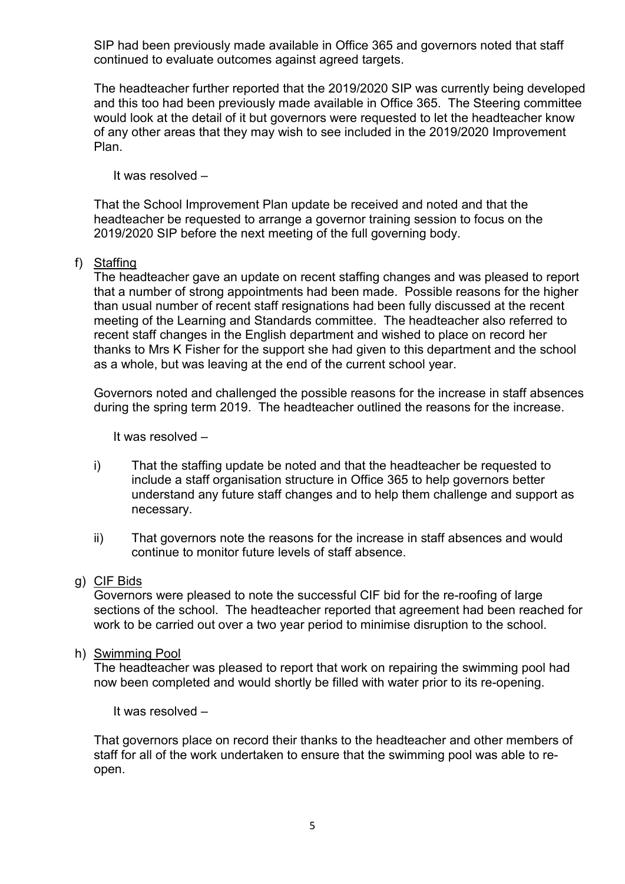SIP had been previously made available in Office 365 and governors noted that staff continued to evaluate outcomes against agreed targets.

The headteacher further reported that the 2019/2020 SIP was currently being developed and this too had been previously made available in Office 365. The Steering committee would look at the detail of it but governors were requested to let the headteacher know of any other areas that they may wish to see included in the 2019/2020 Improvement Plan.

It was resolved –

That the School Improvement Plan update be received and noted and that the headteacher be requested to arrange a governor training session to focus on the 2019/2020 SIP before the next meeting of the full governing body.

#### f) Staffing

The headteacher gave an update on recent staffing changes and was pleased to report that a number of strong appointments had been made. Possible reasons for the higher than usual number of recent staff resignations had been fully discussed at the recent meeting of the Learning and Standards committee. The headteacher also referred to recent staff changes in the English department and wished to place on record her thanks to Mrs K Fisher for the support she had given to this department and the school as a whole, but was leaving at the end of the current school year.

Governors noted and challenged the possible reasons for the increase in staff absences during the spring term 2019. The headteacher outlined the reasons for the increase.

It was resolved –

- i) That the staffing update be noted and that the headteacher be requested to include a staff organisation structure in Office 365 to help governors better understand any future staff changes and to help them challenge and support as necessary.
- ii) That governors note the reasons for the increase in staff absences and would continue to monitor future levels of staff absence.

#### g) CIF Bids

Governors were pleased to note the successful CIF bid for the re-roofing of large sections of the school. The headteacher reported that agreement had been reached for work to be carried out over a two year period to minimise disruption to the school.

h) Swimming Pool

The headteacher was pleased to report that work on repairing the swimming pool had now been completed and would shortly be filled with water prior to its re-opening.

It was resolved –

That governors place on record their thanks to the headteacher and other members of staff for all of the work undertaken to ensure that the swimming pool was able to reopen.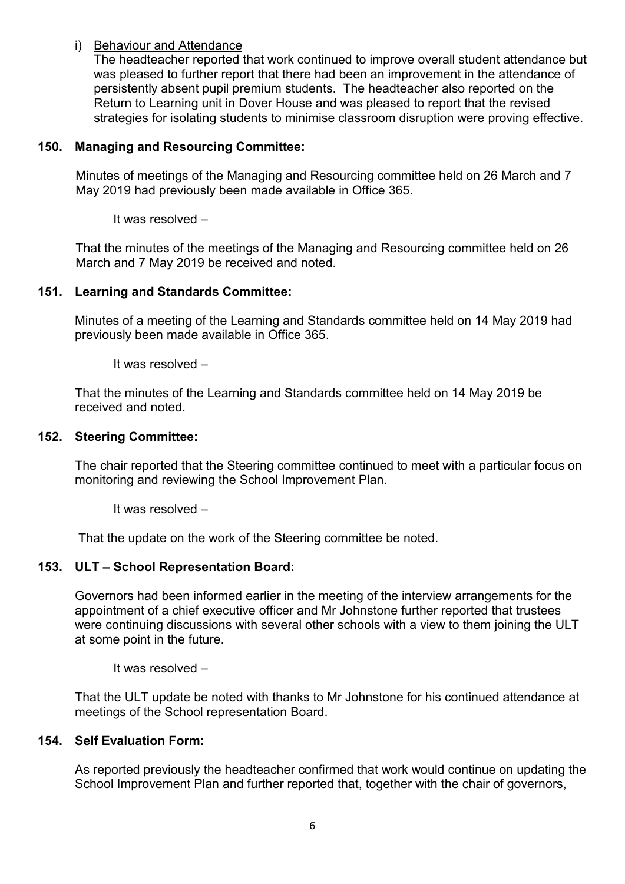### i) Behaviour and Attendance

The headteacher reported that work continued to improve overall student attendance but was pleased to further report that there had been an improvement in the attendance of persistently absent pupil premium students. The headteacher also reported on the Return to Learning unit in Dover House and was pleased to report that the revised strategies for isolating students to minimise classroom disruption were proving effective.

### **150. Managing and Resourcing Committee:**

Minutes of meetings of the Managing and Resourcing committee held on 26 March and 7 May 2019 had previously been made available in Office 365.

It was resolved –

That the minutes of the meetings of the Managing and Resourcing committee held on 26 March and 7 May 2019 be received and noted.

### **151. Learning and Standards Committee:**

Minutes of a meeting of the Learning and Standards committee held on 14 May 2019 had previously been made available in Office 365.

It was resolved –

That the minutes of the Learning and Standards committee held on 14 May 2019 be received and noted.

#### **152. Steering Committee:**

The chair reported that the Steering committee continued to meet with a particular focus on monitoring and reviewing the School Improvement Plan.

It was resolved –

That the update on the work of the Steering committee be noted.

#### **153. ULT – School Representation Board:**

Governors had been informed earlier in the meeting of the interview arrangements for the appointment of a chief executive officer and Mr Johnstone further reported that trustees were continuing discussions with several other schools with a view to them joining the ULT at some point in the future.

It was resolved –

That the ULT update be noted with thanks to Mr Johnstone for his continued attendance at meetings of the School representation Board.

#### **154. Self Evaluation Form:**

As reported previously the headteacher confirmed that work would continue on updating the School Improvement Plan and further reported that, together with the chair of governors,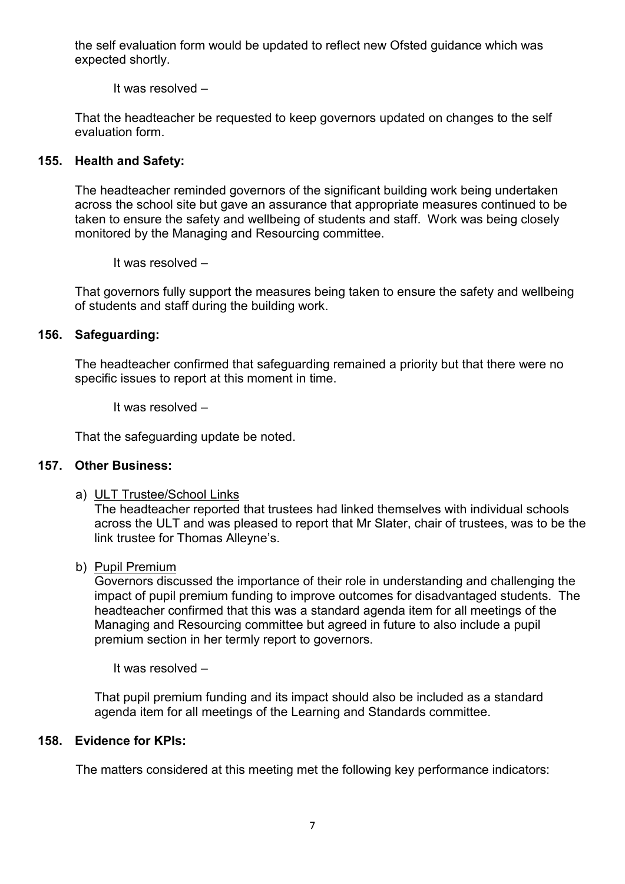the self evaluation form would be updated to reflect new Ofsted guidance which was expected shortly.

It was resolved –

That the headteacher be requested to keep governors updated on changes to the self evaluation form.

### **155. Health and Safety:**

The headteacher reminded governors of the significant building work being undertaken across the school site but gave an assurance that appropriate measures continued to be taken to ensure the safety and wellbeing of students and staff. Work was being closely monitored by the Managing and Resourcing committee.

It was resolved –

That governors fully support the measures being taken to ensure the safety and wellbeing of students and staff during the building work.

### **156. Safeguarding:**

The headteacher confirmed that safeguarding remained a priority but that there were no specific issues to report at this moment in time.

It was resolved –

That the safeguarding update be noted.

### **157. Other Business:**

a) ULT Trustee/School Links

The headteacher reported that trustees had linked themselves with individual schools across the ULT and was pleased to report that Mr Slater, chair of trustees, was to be the link trustee for Thomas Alleyne's.

b) Pupil Premium

Governors discussed the importance of their role in understanding and challenging the impact of pupil premium funding to improve outcomes for disadvantaged students. The headteacher confirmed that this was a standard agenda item for all meetings of the Managing and Resourcing committee but agreed in future to also include a pupil premium section in her termly report to governors.

It was resolved –

That pupil premium funding and its impact should also be included as a standard agenda item for all meetings of the Learning and Standards committee.

### **158. Evidence for KPIs:**

The matters considered at this meeting met the following key performance indicators: